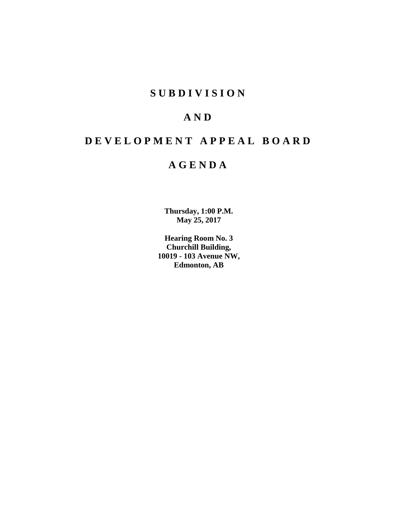# **SUBDIVISION**

# **AND**

# **DEVELOPMENT APPEAL BOARD**

# **AGENDA**

**Thursday, 1:00 P.M. May 25, 2017**

**Hearing Room No. 3 Churchill Building, 10019 - 103 Avenue NW, Edmonton, AB**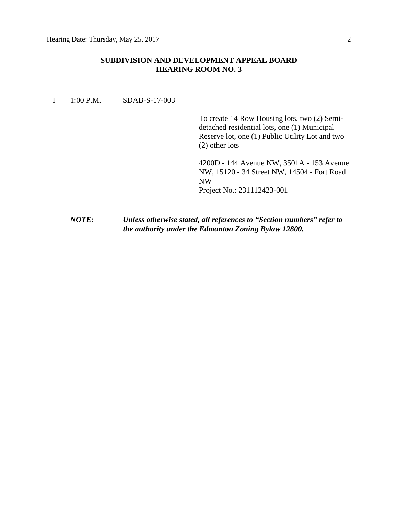# **SUBDIVISION AND DEVELOPMENT APPEAL BOARD HEARING ROOM NO. 3**

| 1:00 P.M. | SDAB-S-17-003 |                                                                                                                                                                     |
|-----------|---------------|---------------------------------------------------------------------------------------------------------------------------------------------------------------------|
|           |               | To create 14 Row Housing lots, two (2) Semi-<br>detached residential lots, one (1) Municipal<br>Reserve lot, one (1) Public Utility Lot and two<br>$(2)$ other lots |
|           |               | 4200D - 144 Avenue NW, 3501A - 153 Avenue<br>NW, 15120 - 34 Street NW, 14504 - Fort Road<br><b>NW</b><br>Project No.: 231112423-001                                 |
| NOTE:     |               | Unless otherwise stated, all references to "Section numbers" refer to<br>the authority under the Edmonton Zoning Bylaw 12800.                                       |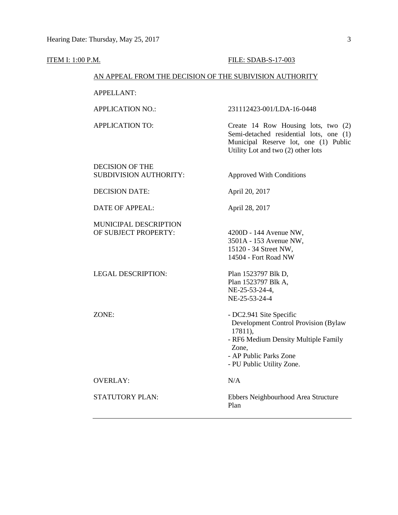### **ITEM I:** 1:00 P.M. **FILE: SDAB-S-17-003**

# AN APPEAL FROM THE DECISION OF THE SUBIVISION AUTHORITY

APPELLANT:

# APPLICATION NO.: 231112423-001/LDA-16-0448

APPLICATION TO: Create 14 Row Housing lots, two (2) Semi-detached residential lots, one (1) Municipal Reserve lot, one (1) Public Utility Lot and two (2) other lots

DECISION OF THE SUBDIVISION AUTHORITY: Approved With Conditions

DECISION DATE: April 20, 2017

DATE OF APPEAL: April 28, 2017

MUNICIPAL DESCRIPTION OF SUBJECT PROPERTY: 4200D - 144 Avenue NW,

LEGAL DESCRIPTION: Plan 1523797 Blk D, Plan 1523797 Blk A, NE-25-53-24-4, NE-25-53-24-4

3501A - 153 Avenue NW, 15120 - 34 Street NW, 14504 - Fort Road NW

ZONE:  $DC2.941$  Site Specific Development Control Provision (Bylaw 17811), - RF6 Medium Density Multiple Family Zone, - AP Public Parks Zone - PU Public Utility Zone. OVERLAY: N/A STATUTORY PLAN: Ebbers Neighbourhood Area Structure

Plan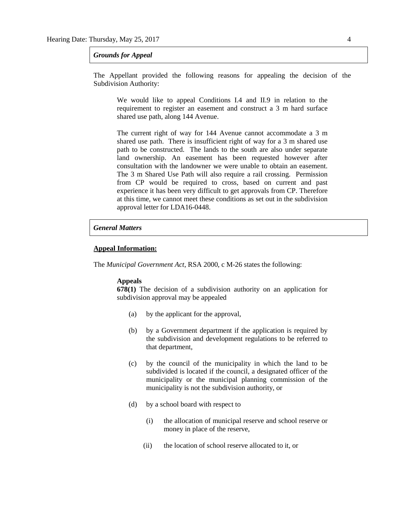### *Grounds for Appeal*

The Appellant provided the following reasons for appealing the decision of the Subdivision Authority:

We would like to appeal Conditions I.4 and II.9 in relation to the requirement to register an easement and construct a 3 m hard surface shared use path, along 144 Avenue.

The current right of way for 144 Avenue cannot accommodate a 3 m shared use path. There is insufficient right of way for a 3 m shared use path to be constructed. The lands to the south are also under separate land ownership. An easement has been requested however after consultation with the landowner we were unable to obtain an easement. The 3 m Shared Use Path will also require a rail crossing. Permission from CP would be required to cross, based on current and past experience it has been very difficult to get approvals from CP. Therefore at this time, we cannot meet these conditions as set out in the subdivision approval letter for LDA16-0448.

# *General Matters*

# **Appeal Information:**

The *Municipal Government Act*, RSA 2000, c M-26 states the following:

#### **Appeals**

**678(1)** The decision of a subdivision authority on an application for subdivision approval may be appealed

- (a) by the applicant for the approval,
- (b) by a Government department if the application is required by the subdivision and development regulations to be referred to that department,
- (c) by the council of the municipality in which the land to be subdivided is located if the council, a designated officer of the municipality or the municipal planning commission of the municipality is not the subdivision authority, or
- (d) by a school board with respect to
	- (i) the allocation of municipal reserve and school reserve or money in place of the reserve,
	- (ii) the location of school reserve allocated to it, or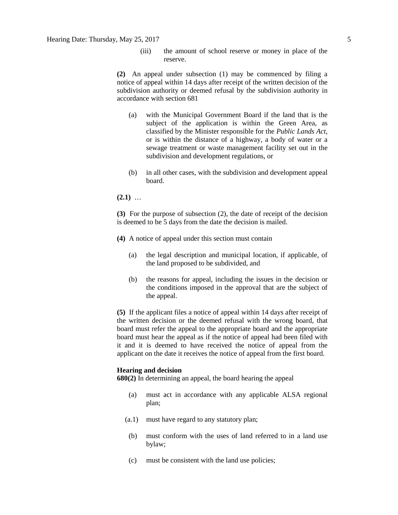(iii) the amount of school reserve or money in place of the reserve.

**(2)** An appeal under subsection (1) may be commenced by filing a notice of appeal within 14 days after receipt of the written decision of the subdivision authority or deemed refusal by the subdivision authority in accordance with section 681

- (a) with the Municipal Government Board if the land that is the subject of the application is within the Green Area, as classified by the Minister responsible for the *Public Lands Act*, or is within the distance of a highway, a body of water or a sewage treatment or waste management facility set out in the subdivision and development regulations, or
- (b) in all other cases, with the subdivision and development appeal board.
- **(2.1)** …

**(3)** For the purpose of subsection (2), the date of receipt of the decision is deemed to be 5 days from the date the decision is mailed.

- **(4)** A notice of appeal under this section must contain
	- (a) the legal description and municipal location, if applicable, of the land proposed to be subdivided, and
	- (b) the reasons for appeal, including the issues in the decision or the conditions imposed in the approval that are the subject of the appeal.

**(5)** If the applicant files a notice of appeal within 14 days after receipt of the written decision or the deemed refusal with the wrong board, that board must refer the appeal to the appropriate board and the appropriate board must hear the appeal as if the notice of appeal had been filed with it and it is deemed to have received the notice of appeal from the applicant on the date it receives the notice of appeal from the first board.

#### **Hearing and decision**

**680(2)** In determining an appeal, the board hearing the appeal

- (a) must act in accordance with any applicable ALSA regional plan;
- (a.1) must have regard to any statutory plan;
- (b) must conform with the uses of land referred to in a land use bylaw;
- (c) must be consistent with the land use policies;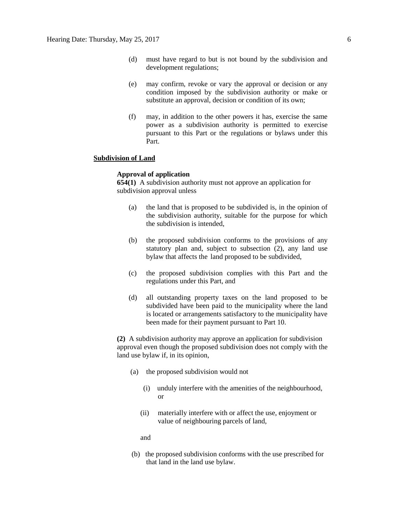- (d) must have regard to but is not bound by the subdivision and development regulations;
- (e) may confirm, revoke or vary the approval or decision or any condition imposed by the subdivision authority or make or substitute an approval, decision or condition of its own;
- (f) may, in addition to the other powers it has, exercise the same power as a subdivision authority is permitted to exercise pursuant to this Part or the regulations or bylaws under this Part.

# **Subdivision of Land**

### **Approval of application**

**654(1)** A subdivision authority must not approve an application for subdivision approval unless

- (a) the land that is proposed to be subdivided is, in the opinion of the subdivision authority, suitable for the purpose for which the subdivision is intended,
- (b) the proposed subdivision conforms to the provisions of any statutory plan and, subject to subsection (2), any land use bylaw that affects the land proposed to be subdivided,
- (c) the proposed subdivision complies with this Part and the regulations under this Part, and
- (d) all outstanding property taxes on the land proposed to be subdivided have been paid to the municipality where the land is located or arrangements satisfactory to the municipality have been made for their payment pursuant to Part 10.

**(2)** A subdivision authority may approve an application for subdivision approval even though the proposed subdivision does not comply with the land use bylaw if, in its opinion,

- (a) the proposed subdivision would not
	- (i) unduly interfere with the amenities of the neighbourhood, or
	- (ii) materially interfere with or affect the use, enjoyment or value of neighbouring parcels of land,

and

(b) the proposed subdivision conforms with the use prescribed for that land in the land use bylaw.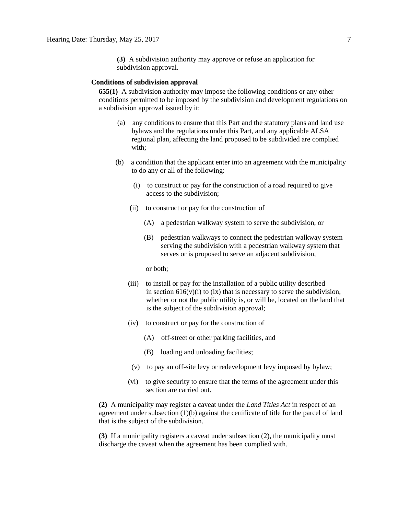**(3)** A subdivision authority may approve or refuse an application for subdivision approval.

# **Conditions of subdivision approval**

**655(1)** A subdivision authority may impose the following conditions or any other conditions permitted to be imposed by the subdivision and development regulations on a subdivision approval issued by it:

- (a) any conditions to ensure that this Part and the statutory plans and land use bylaws and the regulations under this Part, and any applicable ALSA regional plan, affecting the land proposed to be subdivided are complied with;
- (b) a condition that the applicant enter into an agreement with the municipality to do any or all of the following:
	- (i) to construct or pay for the construction of a road required to give access to the subdivision;
	- (ii) to construct or pay for the construction of
		- (A) a pedestrian walkway system to serve the subdivision, or
		- (B) pedestrian walkways to connect the pedestrian walkway system serving the subdivision with a pedestrian walkway system that serves or is proposed to serve an adjacent subdivision,

or both;

- (iii) to install or pay for the installation of a public utility described in section  $616(v)(i)$  to (ix) that is necessary to serve the subdivision, whether or not the public utility is, or will be, located on the land that is the subject of the subdivision approval;
- (iv) to construct or pay for the construction of
	- (A) off-street or other parking facilities, and
	- (B) loading and unloading facilities;
- (v) to pay an off-site levy or redevelopment levy imposed by bylaw;
- (vi) to give security to ensure that the terms of the agreement under this section are carried out.

**(2)** A municipality may register a caveat under the *Land Titles Act* in respect of an agreement under subsection  $(1)(b)$  against the certificate of title for the parcel of land that is the subject of the subdivision.

**(3)** If a municipality registers a caveat under subsection (2), the municipality must discharge the caveat when the agreement has been complied with.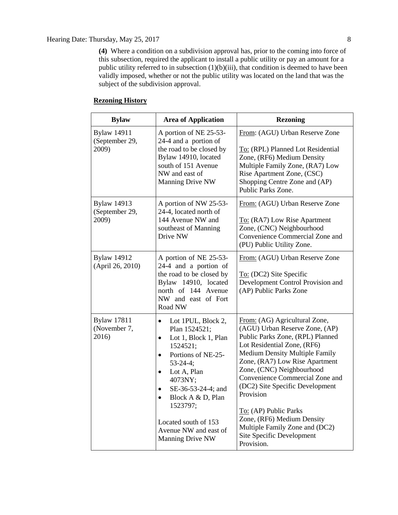# Hearing Date: Thursday, May 25, 2017 8

**(4)** Where a condition on a subdivision approval has, prior to the coming into force of this subsection, required the applicant to install a public utility or pay an amount for a public utility referred to in subsection (1)(b)(iii), that condition is deemed to have been validly imposed, whether or not the public utility was located on the land that was the subject of the subdivision approval.

# **Rezoning History**

| <b>Bylaw</b>                                  | <b>Area of Application</b>                                                                                                                                                                                                                                                                                                                          | <b>Rezoning</b>                                                                                                                                                                                                                                                                                                                                                                                                                                                   |
|-----------------------------------------------|-----------------------------------------------------------------------------------------------------------------------------------------------------------------------------------------------------------------------------------------------------------------------------------------------------------------------------------------------------|-------------------------------------------------------------------------------------------------------------------------------------------------------------------------------------------------------------------------------------------------------------------------------------------------------------------------------------------------------------------------------------------------------------------------------------------------------------------|
| <b>Bylaw 14911</b><br>(September 29,<br>2009) | A portion of NE 25-53-<br>24-4 and a portion of<br>the road to be closed by<br>Bylaw 14910, located<br>south of 151 Avenue<br>NW and east of<br>Manning Drive NW                                                                                                                                                                                    | From: (AGU) Urban Reserve Zone<br>To: (RPL) Planned Lot Residential<br>Zone, (RF6) Medium Density<br>Multiple Family Zone, (RA7) Low<br>Rise Apartment Zone, (CSC)<br>Shopping Centre Zone and (AP)<br>Public Parks Zone.                                                                                                                                                                                                                                         |
| <b>Bylaw 14913</b><br>(September 29,<br>2009) | A portion of NW 25-53-<br>24-4, located north of<br>144 Avenue NW and<br>southeast of Manning<br>Drive NW                                                                                                                                                                                                                                           | From: (AGU) Urban Reserve Zone<br>To: (RA7) Low Rise Apartment<br>Zone, (CNC) Neighbourhood<br>Convenience Commercial Zone and<br>(PU) Public Utility Zone.                                                                                                                                                                                                                                                                                                       |
| <b>Bylaw 14912</b><br>(April 26, 2010)        | A portion of NE 25-53-<br>24-4 and a portion of<br>the road to be closed by<br>Bylaw 14910, located<br>north of 144 Avenue<br>NW and east of Fort<br>Road NW                                                                                                                                                                                        | From: (AGU) Urban Reserve Zone<br>To: (DC2) Site Specific<br>Development Control Provision and<br>(AP) Public Parks Zone                                                                                                                                                                                                                                                                                                                                          |
| <b>Bylaw 17811</b><br>(November 7,<br>2016)   | Lot 1PUL, Block 2,<br>$\bullet$<br>Plan 1524521;<br>Lot 1, Block 1, Plan<br>$\bullet$<br>1524521;<br>Portions of NE-25-<br>$\bullet$<br>$53 - 24 - 4;$<br>Lot A, Plan<br>$\bullet$<br>4073NY;<br>SE-36-53-24-4; and<br>$\bullet$<br>Block A & D, Plan<br>$\bullet$<br>1523797;<br>Located south of 153<br>Avenue NW and east of<br>Manning Drive NW | From: (AG) Agricultural Zone,<br>(AGU) Urban Reserve Zone, (AP)<br>Public Parks Zone, (RPL) Planned<br>Lot Residential Zone, (RF6)<br><b>Medium Density Multiple Family</b><br>Zone, (RA7) Low Rise Apartment<br>Zone, (CNC) Neighbourhood<br>Convenience Commercial Zone and<br>(DC2) Site Specific Development<br>Provision<br>To: (AP) Public Parks<br>Zone, (RF6) Medium Density<br>Multiple Family Zone and (DC2)<br>Site Specific Development<br>Provision. |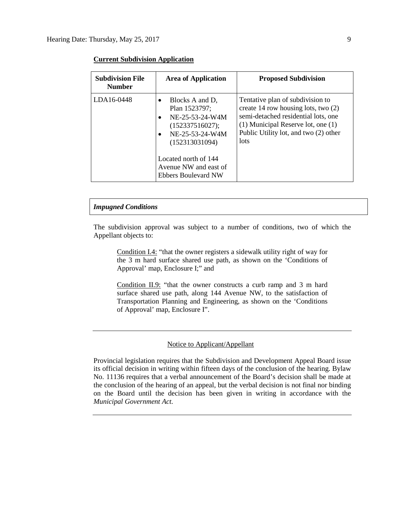| <b>Subdivision File</b><br><b>Number</b> | <b>Area of Application</b>                                                                                                                                                                                           | <b>Proposed Subdivision</b>                                                                                                                                                                                        |
|------------------------------------------|----------------------------------------------------------------------------------------------------------------------------------------------------------------------------------------------------------------------|--------------------------------------------------------------------------------------------------------------------------------------------------------------------------------------------------------------------|
| LDA16-0448                               | Blocks A and D,<br>Plan 1523797;<br>NE-25-53-24-W4M<br>$\bullet$<br>(152337516027);<br>NE-25-53-24-W4M<br>$\bullet$<br>(152313031094)<br>Located north of 144<br>Avenue NW and east of<br><b>Ebbers Boulevard NW</b> | Tentative plan of subdivision to<br>create 14 row housing lots, two $(2)$<br>semi-detached residential lots, one<br>$(1)$ Municipal Reserve lot, one $(1)$<br>Public Utility lot, and two (2) other<br><b>lots</b> |

# **Current Subdivision Application**

# *Impugned Conditions*

The subdivision approval was subject to a number of conditions, two of which the Appellant objects to:

Condition I.4: "that the owner registers a sidewalk utility right of way for the 3 m hard surface shared use path, as shown on the 'Conditions of Approval' map, Enclosure I;" and

Condition II.9: "that the owner constructs a curb ramp and 3 m hard surface shared use path, along 144 Avenue NW, to the satisfaction of Transportation Planning and Engineering, as shown on the 'Conditions of Approval' map, Enclosure I".

# Notice to Applicant/Appellant

Provincial legislation requires that the Subdivision and Development Appeal Board issue its official decision in writing within fifteen days of the conclusion of the hearing. Bylaw No. 11136 requires that a verbal announcement of the Board's decision shall be made at the conclusion of the hearing of an appeal, but the verbal decision is not final nor binding on the Board until the decision has been given in writing in accordance with the *Municipal Government Act.*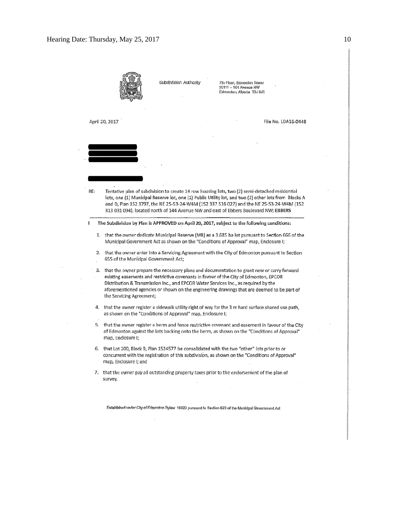$\sim$ 

 $\sim$ 

 $\overline{\phantom{a}}$ 

 $\overline{\phantom{a}}$ 

|     |                                                                                                                                                                                                                                                                                                                                                                                                      | Subdivision Authority | 7th Floor, Edmonton Tower<br>10111 -- 104 Avenue NW<br>Edmonton, Alberta T5J 0J5                                                                                                                                                                                                                                                                                                            |  |  |
|-----|------------------------------------------------------------------------------------------------------------------------------------------------------------------------------------------------------------------------------------------------------------------------------------------------------------------------------------------------------------------------------------------------------|-----------------------|---------------------------------------------------------------------------------------------------------------------------------------------------------------------------------------------------------------------------------------------------------------------------------------------------------------------------------------------------------------------------------------------|--|--|
|     | April 20, 2017                                                                                                                                                                                                                                                                                                                                                                                       |                       | File No. LDA16-0448                                                                                                                                                                                                                                                                                                                                                                         |  |  |
|     |                                                                                                                                                                                                                                                                                                                                                                                                      |                       |                                                                                                                                                                                                                                                                                                                                                                                             |  |  |
| RE: |                                                                                                                                                                                                                                                                                                                                                                                                      |                       | Tentative plan of subdivision to create 14 row housing lots, two (2) semi-detached residential<br>lots, one (1) Municipal Reserve lot, one (1) Public Utility lot, and two (2) other lots from Blocks A<br>and D, Plan 152 3797, the NE 25-53-24-W4M (152 337 516 027) and the NE 25-53-24-W4M (152<br>313 031 094), located north of 144 Avenue NW and east of Ebbers Boulevard NW; EBBERS |  |  |
| ı   |                                                                                                                                                                                                                                                                                                                                                                                                      |                       | The Subdivision by Plan is APPROVED on April 20, 2017, subject to the following conditions:                                                                                                                                                                                                                                                                                                 |  |  |
|     | 1. that the owner dedicate Municipal Reserve (MR) as a 3.685 ha lot pursuant to Section 666 of the<br>Municipal Government Act as shown on the "Conditions of Approval" map, Enclosure I;                                                                                                                                                                                                            |                       |                                                                                                                                                                                                                                                                                                                                                                                             |  |  |
|     | 2. that the owner enter into a Servicing Agreement with the City of Edmonton pursuant to Section<br>655 of the Municipal Government Act;                                                                                                                                                                                                                                                             |                       |                                                                                                                                                                                                                                                                                                                                                                                             |  |  |
| 3.  | that the owner prepare the necessary plans and documentation to grant new or carry forward<br>existing easements and restrictive covenants in favour of the City of Edmonton, EPCOR<br>Distribution & Transmission Inc., and EPCOR Water Services Inc., as required by the<br>aforementioned agencies or shown on the engineering drawings that are deemed to be part of<br>the Servicing Agreement; |                       |                                                                                                                                                                                                                                                                                                                                                                                             |  |  |
|     | 4. that the owner register a sidewalk utility right of way for the 3 m hard surface shared use path,<br>as shown on the "Conditions of Approval" map, Enclosure I;                                                                                                                                                                                                                                   |                       |                                                                                                                                                                                                                                                                                                                                                                                             |  |  |
|     | 5. that the owner register a berm and fence restrictive covenant and easement in favour of the City<br>of Edmonton against the lots backing onto the berm, as shown on the "Conditions of Approval"<br>map, Enclosure I;                                                                                                                                                                             |                       |                                                                                                                                                                                                                                                                                                                                                                                             |  |  |
|     | 6. that Lot 200, Block 9, Plan 1524577 be consolidated with the two "other" lots prior to or<br>concurrent with the registration of this subdivision, as shown on the "Conditions of Approval"<br>map, Enclosure I; and                                                                                                                                                                              |                       |                                                                                                                                                                                                                                                                                                                                                                                             |  |  |
|     | 7. that the owner pay all outstanding property taxes prior to the endorsement of the plan of<br>survey.                                                                                                                                                                                                                                                                                              |                       |                                                                                                                                                                                                                                                                                                                                                                                             |  |  |
|     |                                                                                                                                                                                                                                                                                                                                                                                                      |                       |                                                                                                                                                                                                                                                                                                                                                                                             |  |  |

Established under City of Edmonton Bylaw 16620 pursuant to Section 623 of the Municipal Government Act

 $\cdot$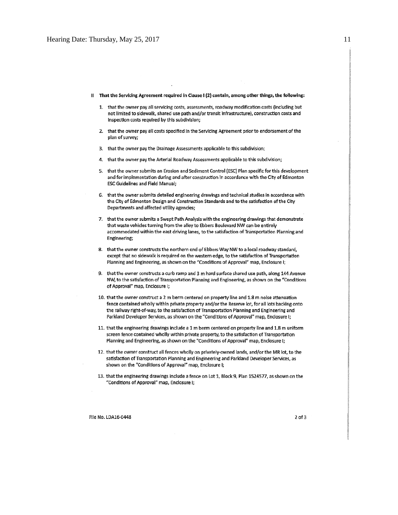- Il That the Servicing Agreement required in Clause I (2) contain, among other things, the following:
	- 1. that the owner pay all servicing costs, assessments, roadway modification costs (including but not limited to sidewalk, shared use path and/or transit infrastructure), construction costs and inspection costs required by this subdivision;
	- 2. that the owner pay all costs specified in the Servicing Agreement prior to endorsement of the plan of survey;
	- 3. that the owner pay the Drainage Assessments applicable to this subdivision;
	- 4. that the owner pay the Arterial Roadway Assessments applicable to this subdivision;
	- 5. that the owner submits an Erosion and Sediment Control (ESC) Plan specific for this development and for implementation during and after construction in accordance with the City of Edmonton **ESC Guidelines and Field Manual;**
	- 6. that the owner submits detailed engineering drawings and technical studies in accordance with the City of Edmonton Design and Construction Standards and to the satisfaction of the City Departments and affected utility agencies;
	- 7. that the owner submits a Swept Path Analysis with the engineering drawings that demonstrate that waste vehicles turning from the alley to Ebbers Boulevard NW can be entirely accommodated within the east driving lanes, to the satisfaction of Transportation Planning and Engineering;
	- 8. that the owner constructs the northern end of Ebbers Way NW to a local roadway standard, except that no sidewalk is required on the western edge, to the satisfaction of Transportation Planning and Engineering, as shown on the "Conditions of Approval" map, Enclosure I;
	- 9. that the owner constructs a curb ramp and 3 m hard surface shared use path, along 144 Avenue NW, to the satisfaction of Transportation Planning and Engineering, as shown on the "Conditions of Approval" map, Enclosure I;
	- 10. that the owner construct a 2 m berm centered on property line and 1.8 m noise attenuation fence contained wholly within private property and/or the Reserve lot, for all lots backing onto the railway right-of-way, to the satisfaction of Transportation Planning and Engineering and Parkland Developer Services, as shown on the "Conditions of Approval" map, Enclosure I;
	- 11. that the engineering drawings include a 1 m berm centered on property line and 1.8 m uniform screen fence contained wholly within private property, to the satisfaction of Transportation Planning and Engineering, as shown on the "Conditions of Approval" map, Enclosure I;
	- 12. that the owner construct all fences wholly on privately-owned lands, and/or the MR lot, to the satisfaction of Transportation Planning and Engineering and Parkland Developer Services, as shown on the "Conditions of Approval" map, Enclosure I;
	- 13. that the engineering drawings include a fence on Lot 1, Block 9, Plan 1524577, as shown on the "Conditions of Approval" map, Enclosure I;

 $2$  of  $3$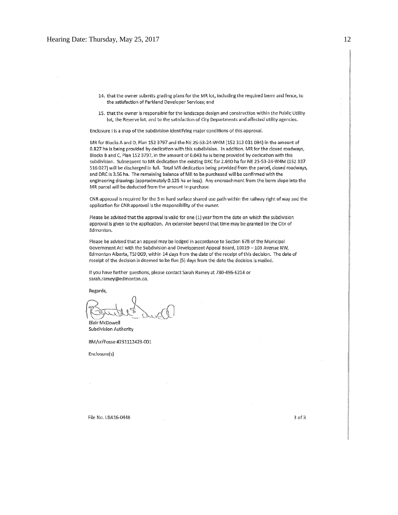- 14. that the owner submits grading plans for the MR lot, including the required berm and fence, to the satisfaction of Parkland Developer Services; and
- 15. that the owner is responsible for the landscape design and construction within the Public Utility lot, the Reserve lot, and to the satisfaction of City Departments and affected utility agencies.

Enclosure I is a map of the subdivision identifying major conditions of this approval.

MR for Blocks A and D, Plan 152 3797 and the NE 25-53-24-W4M (152 313 031 094) in the amount of 0.827 ha is being provided by dedication with this subdivision. In addition, MR for the closed roadways, Blocks B and C, Plan 152 3797, in the amount of 0.043 ha is being provided by dedication with this subdivision. Subsequent to MR dedication the existing DRC for 2.690 ha for NE 25-53-24-W4M (152 337 516 027) will be discharged in full. Total MR dedication being provided from the parcel, closed roadways, and DRC is 3.56 ha. The remaining balance of MR to be purchased will be confirmed with the engineering drawings (approximately 0.125 ha or less). Any encroachment from the berm slope into the MR parcel will be deducted from the amount to purchase.

CNR approval is required for the 3 m hard surface shared use path within the railway right of way and the application for CNR approval is the responsibility of the owner.

Please be advised that the approval is valid for one (1) year from the date on which the subdivision approval is given to the application. An extension beyond that time may be granted by the City of Edmonton.

Please be advised that an appeal may be lodged in accordance to Section 678 of the Municipal Government Act with the Subdivision and Development Appeal Board, 10019 - 103 Avenue NW, Edmonton Alberta, T5J 0G9, within 14 days from the date of the receipt of this decision. The date of receipt of the decision is deemed to be five (5) days from the date the decision is mailed.

If you have further questions, please contact Sarah Ramey at 780-496-6214 or sarah.ramey@edmonton.ca.

Regards,

**Blair McDowell** 

Subdivision Authority

BM/sr/Posse #231112423-001

Enclosure(s)

File No. LDA16-0448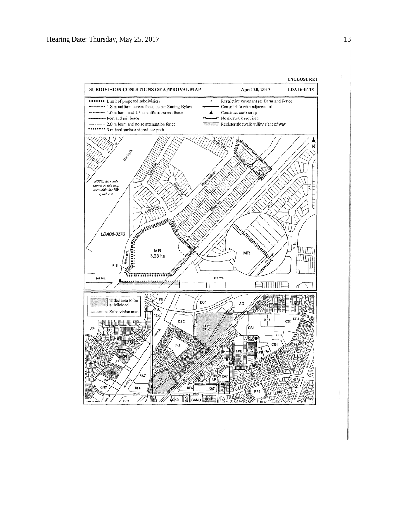